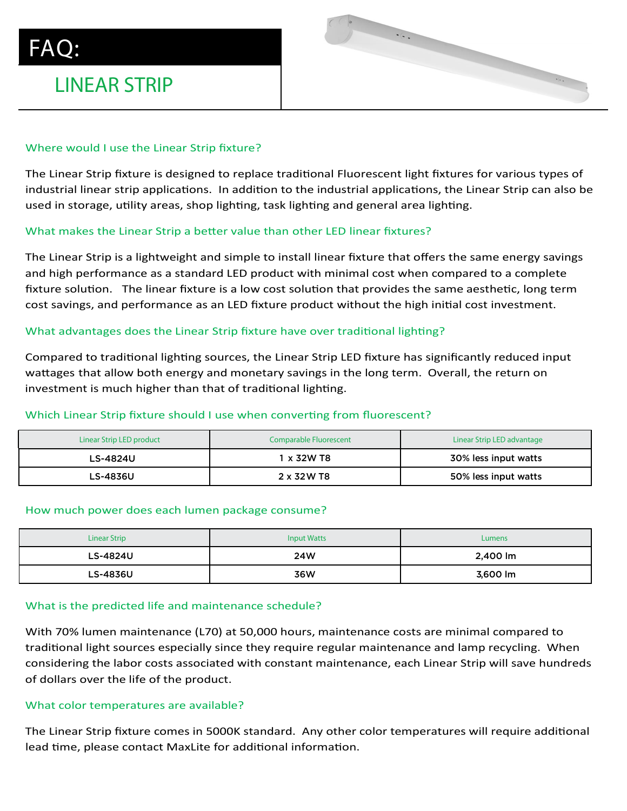## Where would I use the Linear Strip fixture?

LINEAR STRIP

The Linear Strip fixture is designed to replace traditional Fluorescent light fixtures for various types of industrial linear strip applications. In addition to the industrial applications, the Linear Strip can also be used in storage, utility areas, shop lighting, task lighting and general area lighting. uorestent ilgiit fixtur  $\mathcal{L}$  with  $\mathcal{L}$  and  $\mathcal{L}$  and  $\mathcal{L}$  and  $\mathcal{L}$  . On  $\mathcal{L}$  and  $\mathcal{L}$  and  $\mathcal{L}$  $\ldots$  and  $\ldots$ Depth as cocert none intered

## What makes the Linear Strip a better value than other LED linear fixtures?

The Linear Strip is a lightweight and simple to install linear fixture that offers the same energy savings and high performance as a standard LED product with minimal cost when compared to a complete fixture solution. The linear fixture is a low cost solution that provides the same aesthetic, long term cost savings, and performance as an LED fixture product without the high initial cost investment. mnared to a complete

## What advantages does the Linear Strip fixture have over traditional lighting?

Compared to traditional lighting sources, the Linear Strip LED fixture has significantly reduced input wattages that allow both energy and monetary savings in the long term. Overall, the return on investment is much higher than that of traditional lighting.

## Which Linear Strip fixture should I use when converting from fluorescent?

| Linear Strip LED product | <b>Comparable Fluorescent</b> | Linear Strip LED advantage |
|--------------------------|-------------------------------|----------------------------|
| LS-4824U                 | ∣x 32W T8                     | 30% less input watts       |
| LS-4836U                 | 2 x 32 W T8                   | 50% less input watts       |

### How much power does each lumen package consume?

| <b>Linear Strip</b> | <b>Input Watts</b> | Lumens   |
|---------------------|--------------------|----------|
| LS-4824U            | 24W                | 2,400 lm |
| LS-4836U            | 36W                | 3,600 lm |

### What is the predicted life and maintenance schedule?

With 70% lumen maintenance (L70) at 50,000 hours, maintenance costs are minimal compared to traditional light sources especially since they require regular maintenance and lamp recycling. When considering the labor costs associated with constant maintenance, each Linear Strip will save hundreds of dollars over the life of the product.

### What color temperatures are available?

The Linear Strip fixture comes in 5000K standard. Any other color temperatures will require additional lead time, please contact MaxLite for additional information.